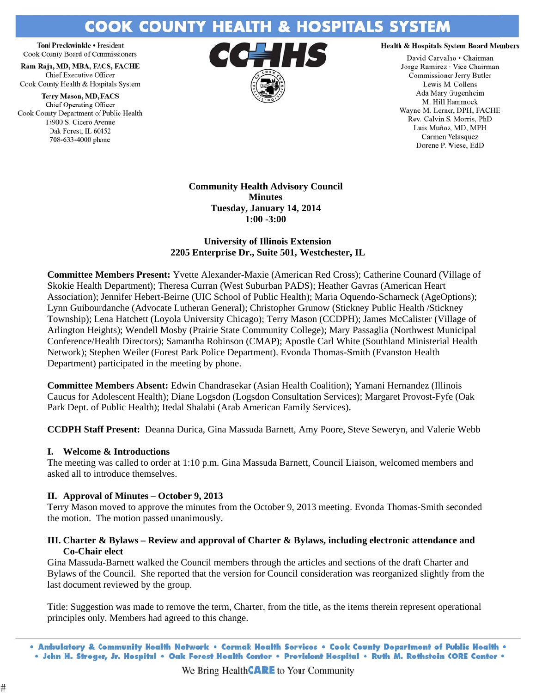# **COOK COUNTY HEALTH & HOSPITALS SYSTEM**

Toni Preckwinkle · Fresident Cook County Board of Commissioners

Ram Raju, MD, MBA, FACS, FACHE Chief Executive Officer Cook County Health & Hospitals System

**Terry Mason, MD, FACS** Chief Operating Officer Cook County Department of Public Health 15900 S. Cicero Avenue Oak Forest, IL 60452 708-633-4000 phone



#### **Health & Hospitals System Board Members**

David Carvalho . Chairman Jorge Ramirez · Vice Chairman Commissioner Jerry Butler Lewis M. Collens Ada Mary Gugenheim M. Hill Hammock Wayne M. Lerner, DPH, FACHE Rev. Calvin S. Morris, PhD Luis Muñoz, MD, MPH Carmen Velasquez Dorene P. Wiese, EdD

**Community Health Advisory Council Minutes** Tuesday, January 14, 2014  $1:00 - 3:00$ 

### **University of Illinois Extension** 2205 Enterprise Dr., Suite 501, Westchester, IL

**Committee Members Present:** Yvette Alexander-Maxie (American Red Cross); Catherine Counard (Village of Skokie Health Department); Theresa Curran (West Suburban PADS); Heather Gavras (American Heart Association); Jennifer Hebert-Beirne (UIC School of Public Health); Maria Oquendo-Scharneck (AgeOptions); Lynn Guibourdanche (Advocate Lutheran General); Christopher Grunow (Stickney Public Health /Stickney Township); Lena Hatchett (Loyola University Chicago); Terry Mason (CCDPH); James McCalister (Village of Arlington Heights); Wendell Mosby (Prairie State Community College); Mary Passaglia (Northwest Municipal Conference/Health Directors); Samantha Robinson (CMAP); Apostle Carl White (Southland Ministerial Health Network); Stephen Weiler (Forest Park Police Department). Evonda Thomas-Smith (Evanston Health) Department) participated in the meeting by phone.

Committee Members Absent: Edwin Chandrasekar (Asian Health Coalition); Yamani Hernandez (Illinois Caucus for Adolescent Health); Diane Logsdon (Logsdon Consultation Services); Margaret Provost-Fyfe (Oak Park Dept. of Public Health); Itedal Shalabi (Arab American Family Services).

**CCDPH Staff Present:** Deanna Durica, Gina Massuda Barnett, Amy Poore, Steve Seweryn, and Valerie Webb

# **I.** Welcome & Introductions

#

The meeting was called to order at 1:10 p.m. Gina Massuda Barnett, Council Liaison, welcomed members and asked all to introduce themselves.

# II. Approval of Minutes – October 9, 2013

Terry Mason moved to approve the minutes from the October 9, 2013 meeting. Evonda Thomas-Smith seconded the motion. The motion passed unanimously.

### III. Charter & Bylaws – Review and approval of Charter & Bylaws, including electronic attendance and **Co-Chair elect**

Gina Massuda-Barnett walked the Council members through the articles and sections of the draft Charter and Bylaws of the Council. She reported that the version for Council consideration was reorganized slightly from the last document reviewed by the group.

Title: Suggestion was made to remove the term, Charter, from the title, as the items therein represent operational principles only. Members had agreed to this change.

<sup>.</sup> Ambulatory & Community Health Network . Cermak Health Services . Cook County Department of Public Health . . John H. Stroger, Jr. Hospital • Oak Forest Health Center • Provident Hospital • Ruth M. Rothstein CORE Center •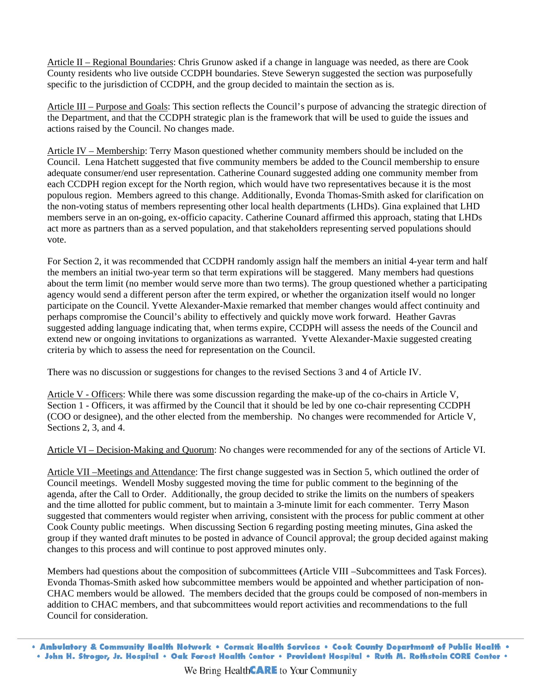Article II – Regional Boundaries: Chris Grunow asked if a change in language was needed, as there are Cook County residents who live outside CCDPH boundaries. Steve Seweryn suggested the section was purposefully specific to the jurisdiction of CCDPH, and the group decided to maintain the section as is.

Article III – Purpose and Goals: This section reflects the Council's purpose of advancing the strategic direction of the Department, and that the CCDPH strategic plan is the framework that will be used to guide the issues and actions raised by the Council. No changes made.

Article IV – Membership: Terry Mason questioned whether community members should be included on the Council. Lena Hatchett suggested that five community members be added to the Council membership to ensure adequate consumer/end user representation. Catherine Counard suggested adding one community member from each CCDPH region except for the North region, which would have two representatives because it is the most populous region. Members agreed to this change. Additionally, Evonda Thomas-Smith asked for clarification on the non-voting status of members representing other local health departments (LHDs). Gina explained that LHD members serve in an on-going, ex-officio capacity. Catherine Counard affirmed this approach, stating that LHDs act more as partners than as a served population, and that stakeholders representing served populations should vote.

For Section 2, it was recommended that CCDPH randomly assign half the members an initial 4-year term and half the members an initial two-year term so that term expirations will be staggered. Many members had questions about the term limit (no member would serve more than two terms). The group questioned whether a participating agency would send a different person after the term expired, or whether the organization itself would no longer participate on the Council. Yvette Alexander-Maxie remarked that member changes would affect continuity and perhaps compromise the Council's ability to effectively and quickly move work forward. Heather Gavras suggested adding language indicating that, when terms expire, CCDPH will assess the needs of the Council and extend new or ongoing invitations to organizations as warranted. Yvette Alexander-Maxie suggested creating criteria by which to assess the need for representation on the Council.

There was no discussion or suggestions for changes to the revised Sections 3 and 4 of Article IV.

Article V - Officers: While there was some discussion regarding the make-up of the co-chairs in Article V, Section 1 - Officers, it was affirmed by the Council that it should be led by one co-chair representing CCDPH (COO or designee), and the other elected from the membership. No changes were recommended for Article V, Sections 2, 3, and 4.

Article VI – Decision-Making and Quorum: No changes were recommended for any of the sections of Article VI.

Article VII –Meetings and Attendance: The first change suggested was in Section 5, which outlined the order of Council meetings. Wendell Mosby suggested moving the time for public comment to the beginning of the agenda, after the Call to Order. Additionally, the group decided to strike the limits on the numbers of speakers and the time allotted for public comment, but to maintain a 3-minute limit for each commenter. Terry Mason suggested that commenters would register when arriving, consistent with the process for public comment at other Cook County public meetings. When discussing Section 6 regarding posting meeting minutes, Gina asked the group if they wanted draft minutes to be posted in advance of Council approval; the group decided against making changes to this process and will continue to post approved minutes only.

Members had questions about the composition of subcommittees (Article VIII –Subcommittees and Task Forces). Evonda Thomas-Smith asked how subcommittee members would be appointed and whether participation of non-CHAC members would be allowed. The members decided that the groups could be composed of non-members in addition to CHAC members, and that subcommittees would report activities and recommendations to the full Council for consideration.

. Ambulatory & Community Health Network . Cermak Health Services . Cook County Department of Public Health . . John H. Stroger, Jr. Hospital . Oak Forest Health Center . Provident Hospital . Ruth M. Rothstein CORE Center .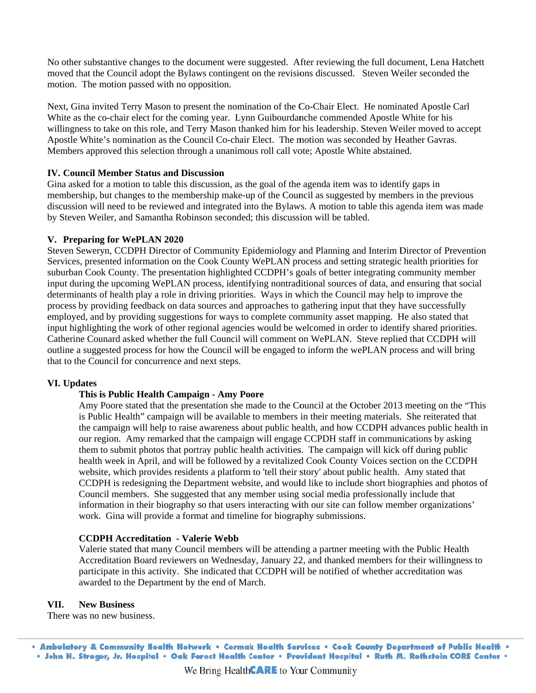No other substantive changes to the document were suggested. After reviewing the full document, Lena Hatchett moved that the Council adopt the Bylaws contingent on the revisions discussed. Steven Weiler seconded the motion. The motion passed with no opposition.

Next, Gina invited Terry Mason to present the nomination of the Co-Chair Elect. He nominated Apostle Carl White as the co-chair elect for the coming year. Lynn Guibourdanche commended Apostle White for his White as the co-chair elect for the coming year. Lynn Guibourdanche commended Apostle White for his<br>willingness to take on this role, and Terry Mason thanked him for his leadership. Steven Weiler moved to accept Apostle White's nomination as the Council Co-chair Elect. The motion was seconded by Heather Gavras. Members approved this selection through a unanimous roll call vote; Apostle White abstained.

#### **IV.** Council Member Status and Discussion

Gina asked for a motion to table this discussion, as the goal of the agenda item was to identify gaps in membership, but changes to the membership make-up of the Council as suggested by members in the previous discussion will need to be reviewed and integrated into the Bylaws. A motion to table this agenda item was made by Steven Weiler, and Samantha Robinson seconded; this discussion will be tabled.

#### **V.** Preparing for WePLAN 2020

Steven Seweryn, CCDPH Director of Community Epidemiology and Planning and Interim Director of Prevention Services, presented information on the Cook County WePLAN process and setting strategic health priorities for suburban Cook County. The presentation highlighted CCDPH's goals of better integrating community member input during the upcoming WePLAN process, identifying nontraditional sources of data, and ensuring that social determinants of health play a role in driving priorities. Ways in which the Council may help to improve the process by providing feedback on data sources and approaches to gathering input that they have successfully employed, and by providing suggestions for ways to complete community asset mapping. He also stated that input highlighting the work of other regional agencies would be welcomed in order to identify shared priorities. Catherine Counard asked whether the full Council will comment on WePLAN. Steve replied that CCDPH will outline a suggested process for how the Council will be engaged to inform the wePLAN process and will bring that to the Council for concurrence and next steps.

#### **V VI. Updates**

### **This is Public Health Campaign - Amy Poore**

Amy Poore stated that the presentation she made to the Council at the October 2013 meeting on the "This is Public Health" campaign will be available to members in their meeting materials. She reiterated that the campaign will help to raise awareness about public health, and how CCDPH advances public health in our region. Amy remarked that the campaign will engage CCPDH staff in communications by asking them to submit photos that portray public health activities. The campaign will kick off during public health week in April, and will be followed by a revitalized Cook County Voices section on the CCDPH website, which provides residents a platform to 'tell their story' about public health. Amy stated that CCDPH is redesigning the Department website, and would like to include short biographies and photos of Council members. She suggested that any member using social media professionally include that information in their biography so that users interacting with our site can follow member organizations' work. Gina will provide a format and timeline for biography submissions.

#### **CCDPH Accreditation - Valerie Webb**

Valerie stated that many Council members will be attending a partner meeting with the Public Health Accreditation Board reviewers on Wednesday, January 22, and thanked members for their willingness to participate in this activity. She indicated that CCDPH will be notified of whether accreditation was awarded to the Department by the end of March.

#### **V VII. New B Business**

There was no new business.

. Ambulatory & Community Health Network . Cermak Health Services . Cook County Department of Public Health . . John H. Stroger, Jr. Hospital . Oak Forest Health Center . Provident Hospital . Ruth M. Rothstein CORE Center .